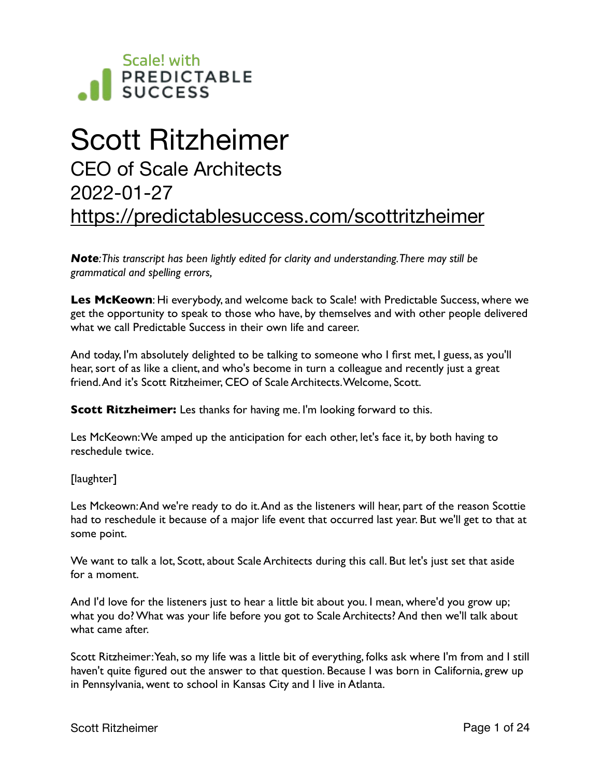

# Scott Ritzheimer CEO of Scale Architects 2022-01-27 <https://predictablesuccess.com/scottritzheimer>

*Note: This transcript has been lightly edited for clarity and understanding. There may still be grammatical and spelling errors,*

**Les McKeown**: Hi everybody, and welcome back to Scale! with Predictable Success, where we get the opportunity to speak to those who have, by themselves and with other people delivered what we call Predictable Success in their own life and career.

And today, I'm absolutely delighted to be talking to someone who I first met, I guess, as you'll hear, sort of as like a client, and who's become in turn a colleague and recently just a great friend. And it's Scott Ritzheimer, CEO of Scale Architects. Welcome, Scott.

**Scott Ritzheimer:** Les thanks for having me. I'm looking forward to this.

Les McKeown: We amped up the anticipation for each other, let's face it, by both having to reschedule twice.

[laughter]

Les Mckeown: And we're ready to do it. And as the listeners will hear, part of the reason Scottie had to reschedule it because of a major life event that occurred last year. But we'll get to that at some point.

We want to talk a lot, Scott, about Scale Architects during this call. But let's just set that aside for a moment.

And I'd love for the listeners just to hear a little bit about you. I mean, where'd you grow up; what you do? What was your life before you got to Scale Architects? And then we'll talk about what came after.

Scott Ritzheimer: Yeah, so my life was a little bit of everything, folks ask where I'm from and I still haven't quite figured out the answer to that question. Because I was born in California, grew up in Pennsylvania, went to school in Kansas City and I live in Atlanta.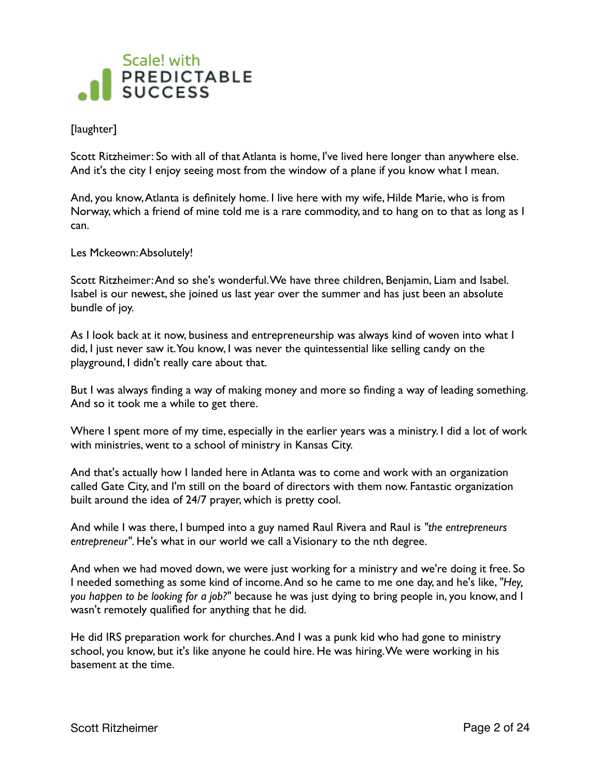

#### [laughter]

Scott Ritzheimer: So with all of that Atlanta is home, I've lived here longer than anywhere else. And it's the city I enjoy seeing most from the window of a plane if you know what I mean.

And, you know, Atlanta is definitely home. I live here with my wife, Hilde Marie, who is from Norway, which a friend of mine told me is a rare commodity, and to hang on to that as long as I can.

Les Mckeown: Absolutely!

Scott Ritzheimer: And so she's wonderful. We have three children, Benjamin, Liam and Isabel. Isabel is our newest, she joined us last year over the summer and has just been an absolute bundle of joy.

As I look back at it now, business and entrepreneurship was always kind of woven into what I did, I just never saw it. You know, I was never the quintessential like selling candy on the playground, I didn't really care about that.

But I was always finding a way of making money and more so finding a way of leading something. And so it took me a while to get there.

Where I spent more of my time, especially in the earlier years was a ministry. I did a lot of work with ministries, went to a school of ministry in Kansas City.

And that's actually how I landed here in Atlanta was to come and work with an organization called Gate City, and I'm still on the board of directors with them now. Fantastic organization built around the idea of 24/7 prayer, which is pretty cool.

And while I was there, I bumped into a guy named Raul Rivera and Raul is *"the entrepreneurs entrepreneur"*. He's what in our world we call a Visionary to the nth degree.

And when we had moved down, we were just working for a ministry and we're doing it free. So I needed something as some kind of income. And so he came to me one day, and he's like, *"Hey, you happen to be looking for a job?"* because he was just dying to bring people in, you know, and I wasn't remotely qualified for anything that he did.

He did IRS preparation work for churches. And I was a punk kid who had gone to ministry school, you know, but it's like anyone he could hire. He was hiring. We were working in his basement at the time.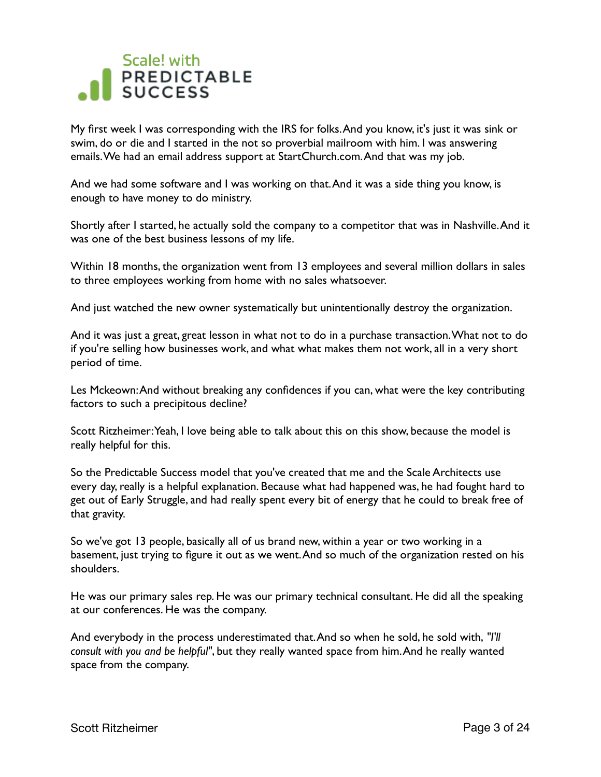My first week I was corresponding with the IRS for folks. And you know, it's just it was sink or swim, do or die and I started in the not so proverbial mailroom with him. I was answering emails. We had an email address support at StartChurch.com. And that was my job.

And we had some software and I was working on that. And it was a side thing you know, is enough to have money to do ministry.

Shortly after I started, he actually sold the company to a competitor that was in Nashville. And it was one of the best business lessons of my life.

Within 18 months, the organization went from 13 employees and several million dollars in sales to three employees working from home with no sales whatsoever.

And just watched the new owner systematically but unintentionally destroy the organization.

And it was just a great, great lesson in what not to do in a purchase transaction. What not to do if you're selling how businesses work, and what what makes them not work, all in a very short period of time.

Les Mckeown: And without breaking any confidences if you can, what were the key contributing factors to such a precipitous decline?

Scott Ritzheimer: Yeah, I love being able to talk about this on this show, because the model is really helpful for this.

So the Predictable Success model that you've created that me and the Scale Architects use every day, really is a helpful explanation. Because what had happened was, he had fought hard to get out of Early Struggle, and had really spent every bit of energy that he could to break free of that gravity.

So we've got 13 people, basically all of us brand new, within a year or two working in a basement, just trying to figure it out as we went. And so much of the organization rested on his shoulders.

He was our primary sales rep. He was our primary technical consultant. He did all the speaking at our conferences. He was the company.

And everybody in the process underestimated that. And so when he sold, he sold with, *"I'll consult with you and be helpful"*, but they really wanted space from him. And he really wanted space from the company.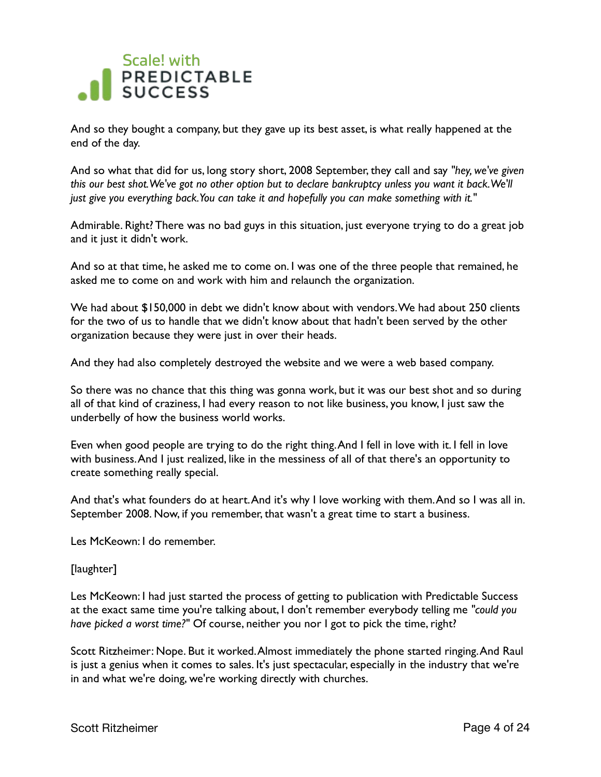And so they bought a company, but they gave up its best asset, is what really happened at the end of the day.

And so what that did for us, long story short, 2008 September, they call and say *"hey, we've given this our best shot. We've got no other option but to declare bankruptcy unless you want it back. We'll just give you everything back. You can take it and hopefully you can make something with it."*

Admirable. Right? There was no bad guys in this situation, just everyone trying to do a great job and it just it didn't work.

And so at that time, he asked me to come on. I was one of the three people that remained, he asked me to come on and work with him and relaunch the organization.

We had about \$150,000 in debt we didn't know about with vendors. We had about 250 clients for the two of us to handle that we didn't know about that hadn't been served by the other organization because they were just in over their heads.

And they had also completely destroyed the website and we were a web based company.

So there was no chance that this thing was gonna work, but it was our best shot and so during all of that kind of craziness, I had every reason to not like business, you know, I just saw the underbelly of how the business world works.

Even when good people are trying to do the right thing. And I fell in love with it. I fell in love with business. And I just realized, like in the messiness of all of that there's an opportunity to create something really special.

And that's what founders do at heart. And it's why I love working with them. And so I was all in. September 2008. Now, if you remember, that wasn't a great time to start a business.

Les McKeown: I do remember.

#### [laughter]

Les McKeown: I had just started the process of getting to publication with Predictable Success at the exact same time you're talking about, I don't remember everybody telling me *"could you have picked a worst time?"* Of course, neither you nor I got to pick the time, right?

Scott Ritzheimer: Nope. But it worked. Almost immediately the phone started ringing. And Raul is just a genius when it comes to sales. It's just spectacular, especially in the industry that we're in and what we're doing, we're working directly with churches.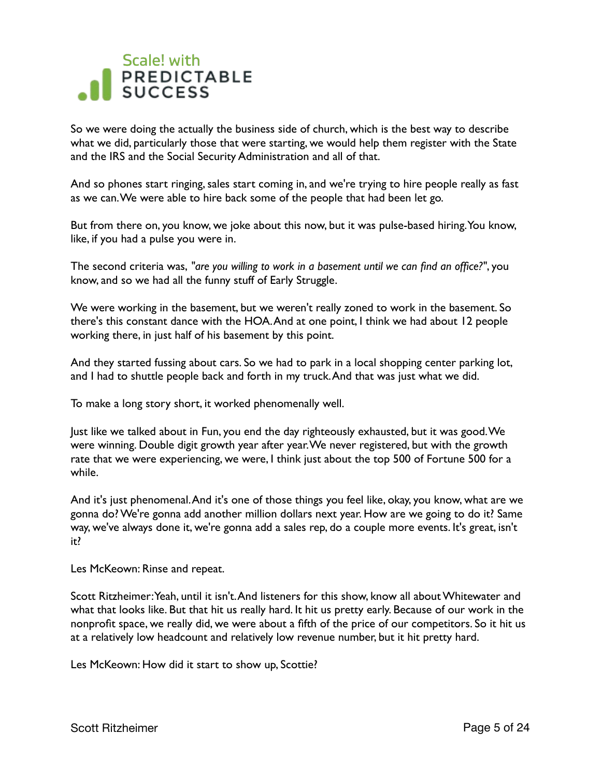So we were doing the actually the business side of church, which is the best way to describe what we did, particularly those that were starting, we would help them register with the State and the IRS and the Social Security Administration and all of that.

And so phones start ringing, sales start coming in, and we're trying to hire people really as fast as we can. We were able to hire back some of the people that had been let go.

But from there on, you know, we joke about this now, but it was pulse-based hiring. You know, like, if you had a pulse you were in.

The second criteria was, *"are you willing to work in a basement until we can find an office?"*, you know, and so we had all the funny stuff of Early Struggle.

We were working in the basement, but we weren't really zoned to work in the basement. So there's this constant dance with the HOA. And at one point, I think we had about 12 people working there, in just half of his basement by this point.

And they started fussing about cars. So we had to park in a local shopping center parking lot, and I had to shuttle people back and forth in my truck. And that was just what we did.

To make a long story short, it worked phenomenally well.

Just like we talked about in Fun, you end the day righteously exhausted, but it was good. We were winning. Double digit growth year after year. We never registered, but with the growth rate that we were experiencing, we were, I think just about the top 500 of Fortune 500 for a while.

And it's just phenomenal. And it's one of those things you feel like, okay, you know, what are we gonna do? We're gonna add another million dollars next year. How are we going to do it? Same way, we've always done it, we're gonna add a sales rep, do a couple more events. It's great, isn't it?

Les McKeown: Rinse and repeat.

Scott Ritzheimer: Yeah, until it isn't. And listeners for this show, know all about Whitewater and what that looks like. But that hit us really hard. It hit us pretty early. Because of our work in the nonprofit space, we really did, we were about a fifth of the price of our competitors. So it hit us at a relatively low headcount and relatively low revenue number, but it hit pretty hard.

Les McKeown: How did it start to show up, Scottie?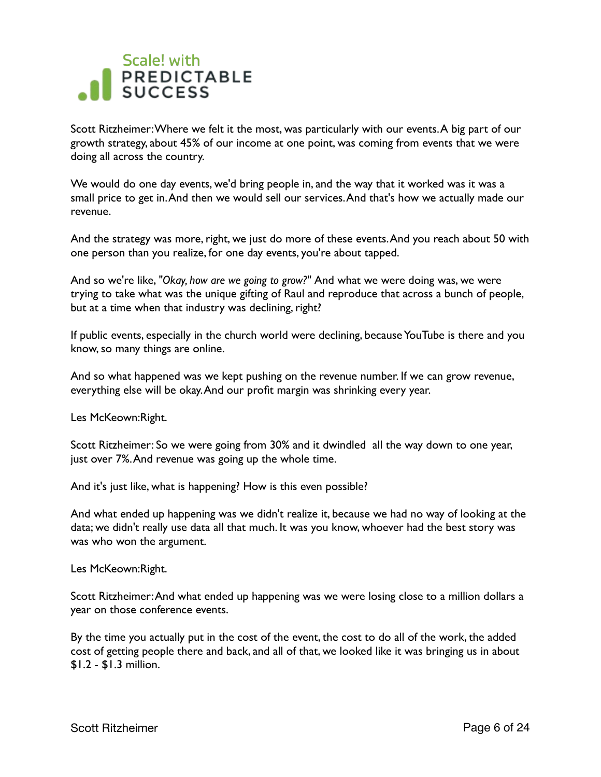Scott Ritzheimer: Where we felt it the most, was particularly with our events. A big part of our growth strategy, about 45% of our income at one point, was coming from events that we were doing all across the country.

We would do one day events, we'd bring people in, and the way that it worked was it was a small price to get in. And then we would sell our services. And that's how we actually made our revenue.

And the strategy was more, right, we just do more of these events. And you reach about 50 with one person than you realize, for one day events, you're about tapped.

And so we're like, *"Okay, how are we going to grow?"* And what we were doing was, we were trying to take what was the unique gifting of Raul and reproduce that across a bunch of people, but at a time when that industry was declining, right?

If public events, especially in the church world were declining, because YouTube is there and you know, so many things are online.

And so what happened was we kept pushing on the revenue number. If we can grow revenue, everything else will be okay. And our profit margin was shrinking every year.

Les McKeown:Right.

Scott Ritzheimer: So we were going from 30% and it dwindled all the way down to one year, just over 7%. And revenue was going up the whole time.

And it's just like, what is happening? How is this even possible?

And what ended up happening was we didn't realize it, because we had no way of looking at the data; we didn't really use data all that much. It was you know, whoever had the best story was was who won the argument.

Les McKeown:Right.

Scott Ritzheimer: And what ended up happening was we were losing close to a million dollars a year on those conference events.

By the time you actually put in the cost of the event, the cost to do all of the work, the added cost of getting people there and back, and all of that, we looked like it was bringing us in about \$1.2 - \$1.3 million.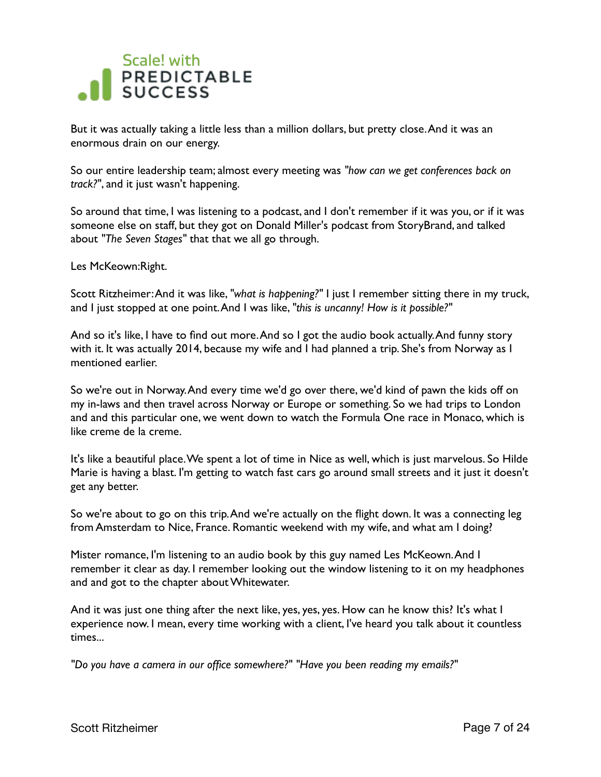

But it was actually taking a little less than a million dollars, but pretty close. And it was an enormous drain on our energy.

So our entire leadership team; almost every meeting was *"how can we get conferences back on track?"*, and it just wasn't happening.

So around that time, I was listening to a podcast, and I don't remember if it was you, or if it was someone else on staff, but they got on Donald Miller's podcast from StoryBrand, and talked about *"The Seven Stages"* that that we all go through.

Les McKeown:Right.

Scott Ritzheimer: And it was like, *"what is happening?"* I just I remember sitting there in my truck, and I just stopped at one point. And I was like, *"this is uncanny! How is it possible?"*

And so it's like, I have to find out more. And so I got the audio book actually. And funny story with it. It was actually 2014, because my wife and I had planned a trip. She's from Norway as I mentioned earlier.

So we're out in Norway. And every time we'd go over there, we'd kind of pawn the kids off on my in-laws and then travel across Norway or Europe or something. So we had trips to London and and this particular one, we went down to watch the Formula One race in Monaco, which is like creme de la creme.

It's like a beautiful place. We spent a lot of time in Nice as well, which is just marvelous. So Hilde Marie is having a blast. I'm getting to watch fast cars go around small streets and it just it doesn't get any better.

So we're about to go on this trip. And we're actually on the flight down. It was a connecting leg from Amsterdam to Nice, France. Romantic weekend with my wife, and what am I doing?

Mister romance, I'm listening to an audio book by this guy named Les McKeown. And I remember it clear as day. I remember looking out the window listening to it on my headphones and and got to the chapter about Whitewater.

And it was just one thing after the next like, yes, yes, yes. How can he know this? It's what I experience now. I mean, every time working with a client, I've heard you talk about it countless times...

*"Do you have a camera in our office somewhere?" "Have you been reading my emails?"*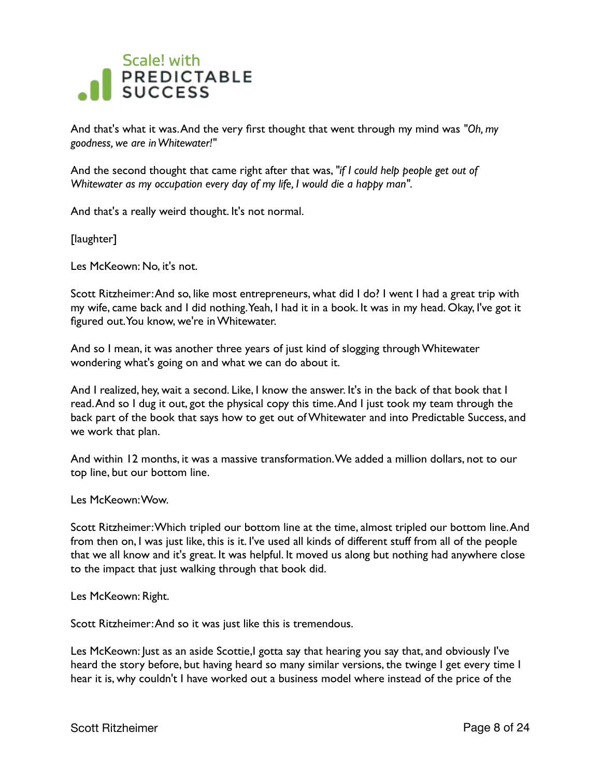

And that's what it was. And the very first thought that went through my mind was *"Oh, my goodness, we are in Whitewater!"* 

And the second thought that came right after that was, *"if I could help people get out of Whitewater as my occupation every day of my life, I would die a happy man".* 

And that's a really weird thought. It's not normal.

[laughter]

Les McKeown: No, it's not.

Scott Ritzheimer: And so, like most entrepreneurs, what did I do? I went I had a great trip with my wife, came back and I did nothing. Yeah, I had it in a book. It was in my head. Okay, I've got it figured out. You know, we're in Whitewater.

And so I mean, it was another three years of just kind of slogging through Whitewater wondering what's going on and what we can do about it.

And I realized, hey, wait a second. Like, I know the answer. It's in the back of that book that I read. And so I dug it out, got the physical copy this time. And I just took my team through the back part of the book that says how to get out of Whitewater and into Predictable Success, and we work that plan.

And within 12 months, it was a massive transformation. We added a million dollars, not to our top line, but our bottom line.

Les McKeown: Wow.

Scott Ritzheimer: Which tripled our bottom line at the time, almost tripled our bottom line. And from then on, I was just like, this is it. I've used all kinds of different stuff from all of the people that we all know and it's great. It was helpful. It moved us along but nothing had anywhere close to the impact that just walking through that book did.

Les McKeown: Right.

Scott Ritzheimer: And so it was just like this is tremendous.

Les McKeown: Just as an aside Scottie,I gotta say that hearing you say that, and obviously I've heard the story before, but having heard so many similar versions, the twinge I get every time I hear it is, why couldn't I have worked out a business model where instead of the price of the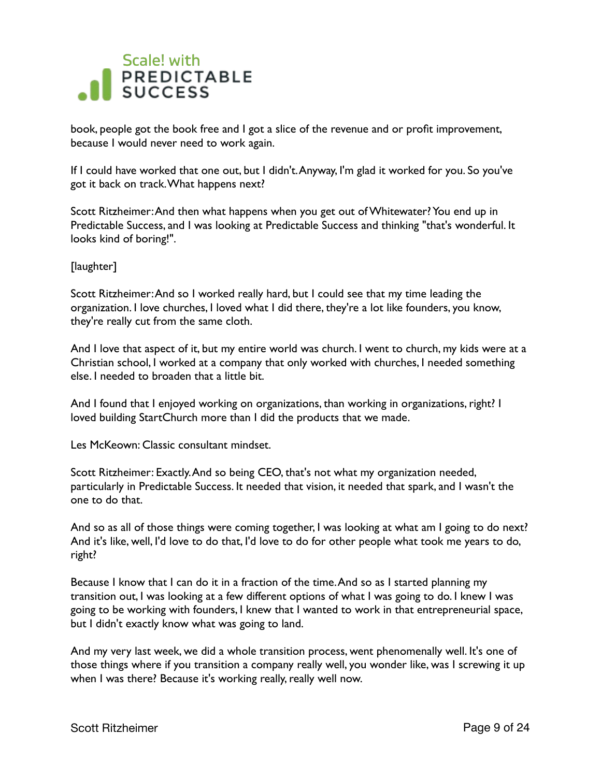

book, people got the book free and I got a slice of the revenue and or profit improvement, because I would never need to work again.

If I could have worked that one out, but I didn't. Anyway, I'm glad it worked for you. So you've got it back on track. What happens next?

Scott Ritzheimer: And then what happens when you get out of Whitewater? You end up in Predictable Success, and I was looking at Predictable Success and thinking "that's wonderful. It looks kind of boring!".

[laughter]

Scott Ritzheimer: And so I worked really hard, but I could see that my time leading the organization. I love churches, I loved what I did there, they're a lot like founders, you know, they're really cut from the same cloth.

And I love that aspect of it, but my entire world was church. I went to church, my kids were at a Christian school, I worked at a company that only worked with churches, I needed something else. I needed to broaden that a little bit.

And I found that I enjoyed working on organizations, than working in organizations, right? I loved building StartChurch more than I did the products that we made.

Les McKeown: Classic consultant mindset.

Scott Ritzheimer: Exactly. And so being CEO, that's not what my organization needed, particularly in Predictable Success. It needed that vision, it needed that spark, and I wasn't the one to do that.

And so as all of those things were coming together, I was looking at what am I going to do next? And it's like, well, I'd love to do that, I'd love to do for other people what took me years to do, right?

Because I know that I can do it in a fraction of the time. And so as I started planning my transition out, I was looking at a few different options of what I was going to do. I knew I was going to be working with founders, I knew that I wanted to work in that entrepreneurial space, but I didn't exactly know what was going to land.

And my very last week, we did a whole transition process, went phenomenally well. It's one of those things where if you transition a company really well, you wonder like, was I screwing it up when I was there? Because it's working really, really well now.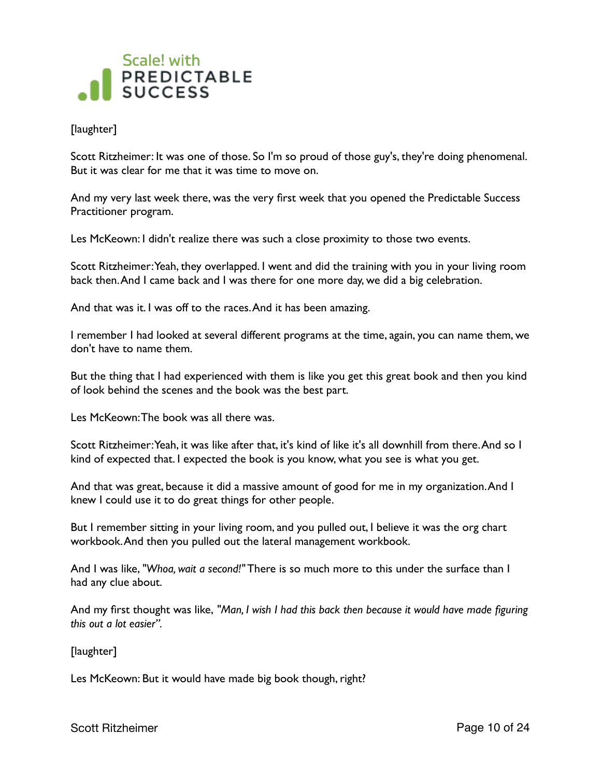

#### [laughter]

Scott Ritzheimer: It was one of those. So I'm so proud of those guy's, they're doing phenomenal. But it was clear for me that it was time to move on.

And my very last week there, was the very first week that you opened the Predictable Success Practitioner program.

Les McKeown: I didn't realize there was such a close proximity to those two events.

Scott Ritzheimer: Yeah, they overlapped. I went and did the training with you in your living room back then. And I came back and I was there for one more day, we did a big celebration.

And that was it. I was off to the races. And it has been amazing.

I remember I had looked at several different programs at the time, again, you can name them, we don't have to name them.

But the thing that I had experienced with them is like you get this great book and then you kind of look behind the scenes and the book was the best part.

Les McKeown: The book was all there was.

Scott Ritzheimer: Yeah, it was like after that, it's kind of like it's all downhill from there. And so I kind of expected that. I expected the book is you know, what you see is what you get.

And that was great, because it did a massive amount of good for me in my organization. And I knew I could use it to do great things for other people.

But I remember sitting in your living room, and you pulled out, I believe it was the org chart workbook. And then you pulled out the lateral management workbook.

And I was like, *"Whoa, wait a second!"* There is so much more to this under the surface than I had any clue about.

And my first thought was like, *"Man, I wish I had this back then because it would have made figuring this out a lot easier".* 

[laughter]

Les McKeown: But it would have made big book though, right?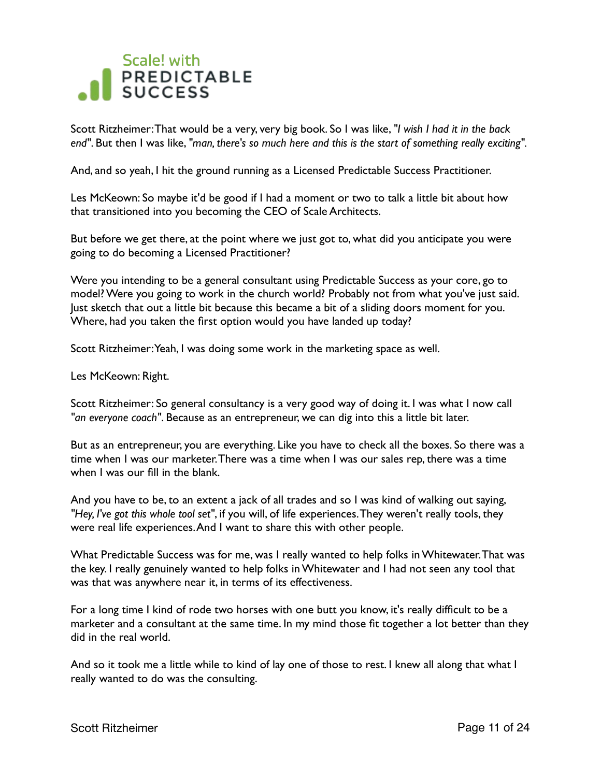

Scott Ritzheimer: That would be a very, very big book. So I was like, *"I wish I had it in the back end"*. But then I was like, *"man, there's so much here and this is the start of something really exciting".*

And, and so yeah, I hit the ground running as a Licensed Predictable Success Practitioner.

Les McKeown: So maybe it'd be good if I had a moment or two to talk a little bit about how that transitioned into you becoming the CEO of Scale Architects.

But before we get there, at the point where we just got to, what did you anticipate you were going to do becoming a Licensed Practitioner?

Were you intending to be a general consultant using Predictable Success as your core, go to model? Were you going to work in the church world? Probably not from what you've just said. Just sketch that out a little bit because this became a bit of a sliding doors moment for you. Where, had you taken the first option would you have landed up today?

Scott Ritzheimer: Yeah, I was doing some work in the marketing space as well.

Les McKeown: Right.

Scott Ritzheimer: So general consultancy is a very good way of doing it. I was what I now call *"an everyone coach"*. Because as an entrepreneur, we can dig into this a little bit later.

But as an entrepreneur, you are everything. Like you have to check all the boxes. So there was a time when I was our marketer. There was a time when I was our sales rep, there was a time when I was our fill in the blank.

And you have to be, to an extent a jack of all trades and so I was kind of walking out saying, *"Hey, I've got this whole tool set"*, if you will, of life experiences. They weren't really tools, they were real life experiences. And I want to share this with other people.

What Predictable Success was for me, was I really wanted to help folks in Whitewater. That was the key. I really genuinely wanted to help folks in Whitewater and I had not seen any tool that was that was anywhere near it, in terms of its effectiveness.

For a long time I kind of rode two horses with one butt you know, it's really difficult to be a marketer and a consultant at the same time. In my mind those fit together a lot better than they did in the real world.

And so it took me a little while to kind of lay one of those to rest. I knew all along that what I really wanted to do was the consulting.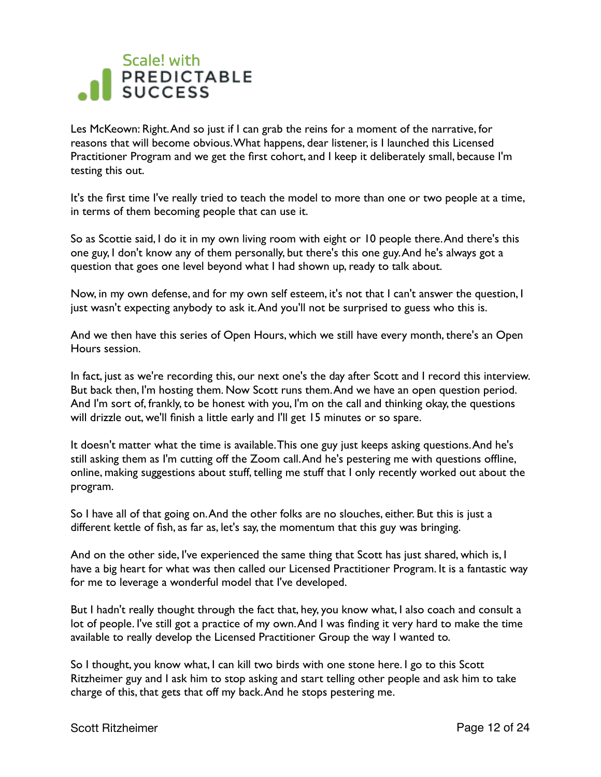Les McKeown: Right. And so just if I can grab the reins for a moment of the narrative, for reasons that will become obvious. What happens, dear listener, is I launched this Licensed Practitioner Program and we get the first cohort, and I keep it deliberately small, because I'm testing this out.

It's the first time I've really tried to teach the model to more than one or two people at a time, in terms of them becoming people that can use it.

So as Scottie said, I do it in my own living room with eight or 10 people there. And there's this one guy, I don't know any of them personally, but there's this one guy. And he's always got a question that goes one level beyond what I had shown up, ready to talk about.

Now, in my own defense, and for my own self esteem, it's not that I can't answer the question, I just wasn't expecting anybody to ask it. And you'll not be surprised to guess who this is.

And we then have this series of Open Hours, which we still have every month, there's an Open Hours session.

In fact, just as we're recording this, our next one's the day after Scott and I record this interview. But back then, I'm hosting them. Now Scott runs them. And we have an open question period. And I'm sort of, frankly, to be honest with you, I'm on the call and thinking okay, the questions will drizzle out, we'll finish a little early and I'll get 15 minutes or so spare.

It doesn't matter what the time is available. This one guy just keeps asking questions. And he's still asking them as I'm cutting off the Zoom call. And he's pestering me with questions offline, online, making suggestions about stuff, telling me stuff that I only recently worked out about the program.

So I have all of that going on. And the other folks are no slouches, either. But this is just a different kettle of fish, as far as, let's say, the momentum that this guy was bringing.

And on the other side, I've experienced the same thing that Scott has just shared, which is, I have a big heart for what was then called our Licensed Practitioner Program. It is a fantastic way for me to leverage a wonderful model that I've developed.

But I hadn't really thought through the fact that, hey, you know what, I also coach and consult a lot of people. I've still got a practice of my own. And I was finding it very hard to make the time available to really develop the Licensed Practitioner Group the way I wanted to.

So I thought, you know what, I can kill two birds with one stone here. I go to this Scott Ritzheimer guy and I ask him to stop asking and start telling other people and ask him to take charge of this, that gets that off my back. And he stops pestering me.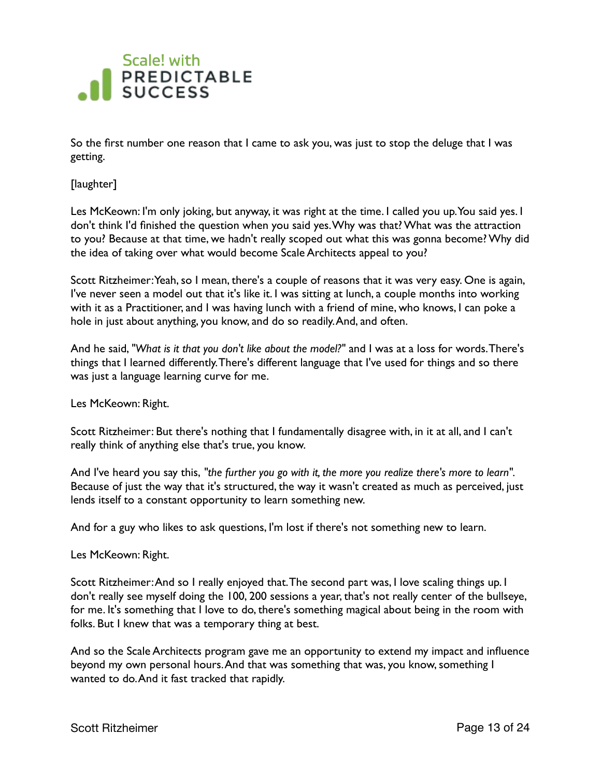

So the first number one reason that I came to ask you, was just to stop the deluge that I was getting.

[laughter]

Les McKeown: I'm only joking, but anyway, it was right at the time. I called you up. You said yes. I don't think I'd finished the question when you said yes. Why was that? What was the attraction to you? Because at that time, we hadn't really scoped out what this was gonna become? Why did the idea of taking over what would become Scale Architects appeal to you?

Scott Ritzheimer: Yeah, so I mean, there's a couple of reasons that it was very easy. One is again, I've never seen a model out that it's like it. I was sitting at lunch, a couple months into working with it as a Practitioner, and I was having lunch with a friend of mine, who knows, I can poke a hole in just about anything, you know, and do so readily. And, and often.

And he said, *"What is it that you don't like about the model?"* and I was at a loss for words. There's things that I learned differently. There's different language that I've used for things and so there was just a language learning curve for me.

Les McKeown: Right.

Scott Ritzheimer: But there's nothing that I fundamentally disagree with, in it at all, and I can't really think of anything else that's true, you know.

And I've heard you say this, *"the further you go with it, the more you realize there's more to learn".* Because of just the way that it's structured, the way it wasn't created as much as perceived, just lends itself to a constant opportunity to learn something new.

And for a guy who likes to ask questions, I'm lost if there's not something new to learn.

Les McKeown: Right.

Scott Ritzheimer: And so I really enjoyed that. The second part was, I love scaling things up. I don't really see myself doing the 100, 200 sessions a year, that's not really center of the bullseye, for me. It's something that I love to do, there's something magical about being in the room with folks. But I knew that was a temporary thing at best.

And so the Scale Architects program gave me an opportunity to extend my impact and influence beyond my own personal hours. And that was something that was, you know, something I wanted to do. And it fast tracked that rapidly.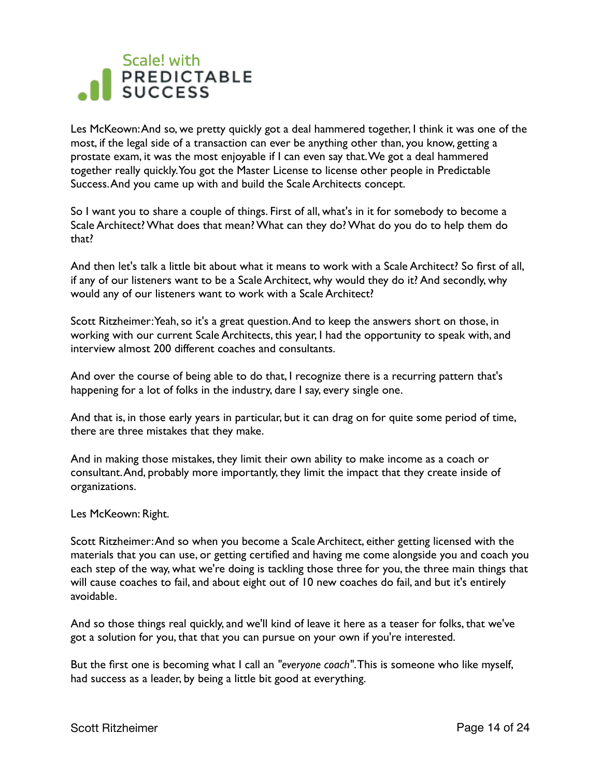Les McKeown: And so, we pretty quickly got a deal hammered together, I think it was one of the most, if the legal side of a transaction can ever be anything other than, you know, getting a prostate exam, it was the most enjoyable if I can even say that. We got a deal hammered together really quickly. You got the Master License to license other people in Predictable Success. And you came up with and build the Scale Architects concept.

So I want you to share a couple of things. First of all, what's in it for somebody to become a Scale Architect? What does that mean? What can they do? What do you do to help them do that?

And then let's talk a little bit about what it means to work with a Scale Architect? So first of all, if any of our listeners want to be a Scale Architect, why would they do it? And secondly, why would any of our listeners want to work with a Scale Architect?

Scott Ritzheimer: Yeah, so it's a great question. And to keep the answers short on those, in working with our current Scale Architects, this year, I had the opportunity to speak with, and interview almost 200 different coaches and consultants.

And over the course of being able to do that, I recognize there is a recurring pattern that's happening for a lot of folks in the industry, dare I say, every single one.

And that is, in those early years in particular, but it can drag on for quite some period of time, there are three mistakes that they make.

And in making those mistakes, they limit their own ability to make income as a coach or consultant. And, probably more importantly, they limit the impact that they create inside of organizations.

#### Les McKeown: Right.

Scott Ritzheimer: And so when you become a Scale Architect, either getting licensed with the materials that you can use, or getting certified and having me come alongside you and coach you each step of the way, what we're doing is tackling those three for you, the three main things that will cause coaches to fail, and about eight out of 10 new coaches do fail, and but it's entirely avoidable.

And so those things real quickly, and we'll kind of leave it here as a teaser for folks, that we've got a solution for you, that that you can pursue on your own if you're interested.

But the first one is becoming what I call an *"everyone coach"*. This is someone who like myself, had success as a leader, by being a little bit good at everything.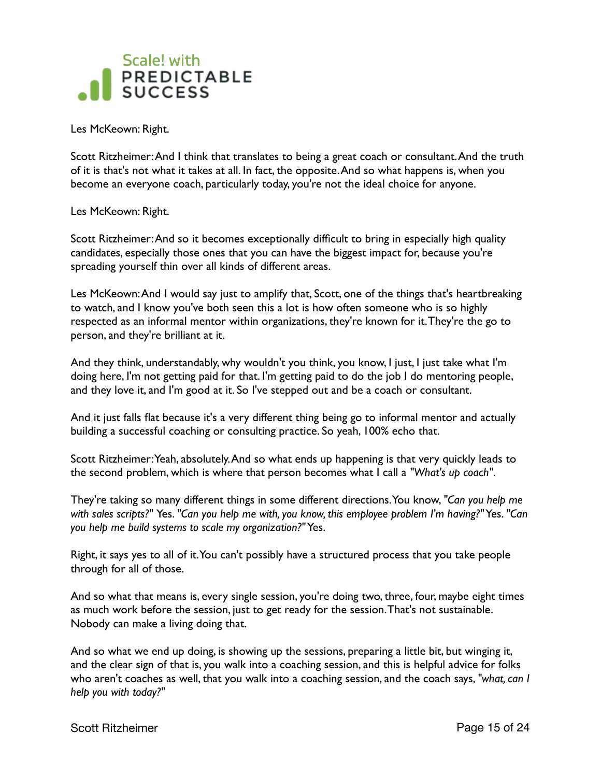

Les McKeown: Right.

Scott Ritzheimer: And I think that translates to being a great coach or consultant. And the truth of it is that's not what it takes at all. In fact, the opposite. And so what happens is, when you become an everyone coach, particularly today, you're not the ideal choice for anyone.

Les McKeown: Right.

Scott Ritzheimer: And so it becomes exceptionally difficult to bring in especially high quality candidates, especially those ones that you can have the biggest impact for, because you're spreading yourself thin over all kinds of different areas.

Les McKeown: And I would say just to amplify that, Scott, one of the things that's heartbreaking to watch, and I know you've both seen this a lot is how often someone who is so highly respected as an informal mentor within organizations, they're known for it. They're the go to person, and they're brilliant at it.

And they think, understandably, why wouldn't you think, you know, I just, I just take what I'm doing here, I'm not getting paid for that. I'm getting paid to do the job I do mentoring people, and they love it, and I'm good at it. So I've stepped out and be a coach or consultant.

And it just falls flat because it's a very different thing being go to informal mentor and actually building a successful coaching or consulting practice. So yeah, 100% echo that.

Scott Ritzheimer: Yeah, absolutely. And so what ends up happening is that very quickly leads to the second problem, which is where that person becomes what I call a *"What's up coach"*.

They're taking so many different things in some different directions. You know, *"Can you help me with sales scripts?"* Yes. *"Can you help me with, you know, this employee problem I'm having?"* Yes. *"Can you help me build systems to scale my organization?"* Yes.

Right, it says yes to all of it. You can't possibly have a structured process that you take people through for all of those.

And so what that means is, every single session, you're doing two, three, four, maybe eight times as much work before the session, just to get ready for the session. That's not sustainable. Nobody can make a living doing that.

And so what we end up doing, is showing up the sessions, preparing a little bit, but winging it, and the clear sign of that is, you walk into a coaching session, and this is helpful advice for folks who aren't coaches as well, that you walk into a coaching session, and the coach says, *"what, can I help you with today?"*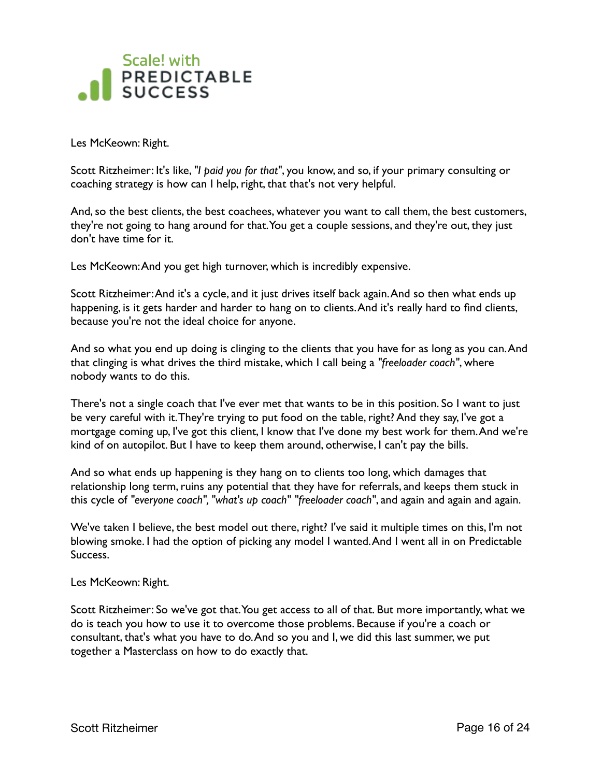

Les McKeown: Right.

Scott Ritzheimer: It's like, *"I paid you for that"*, you know, and so, if your primary consulting or coaching strategy is how can I help, right, that that's not very helpful.

And, so the best clients, the best coachees, whatever you want to call them, the best customers, they're not going to hang around for that. You get a couple sessions, and they're out, they just don't have time for it.

Les McKeown: And you get high turnover, which is incredibly expensive.

Scott Ritzheimer: And it's a cycle, and it just drives itself back again. And so then what ends up happening, is it gets harder and harder to hang on to clients. And it's really hard to find clients, because you're not the ideal choice for anyone.

And so what you end up doing is clinging to the clients that you have for as long as you can. And that clinging is what drives the third mistake, which I call being a *"freeloader coach"*, where nobody wants to do this.

There's not a single coach that I've ever met that wants to be in this position. So I want to just be very careful with it. They're trying to put food on the table, right? And they say, I've got a mortgage coming up, I've got this client, I know that I've done my best work for them. And we're kind of on autopilot. But I have to keep them around, otherwise, I can't pay the bills.

And so what ends up happening is they hang on to clients too long, which damages that relationship long term, ruins any potential that they have for referrals, and keeps them stuck in this cycle of *"everyone coach", "what's up coach" "freeloader coach"*, and again and again and again.

We've taken I believe, the best model out there, right? I've said it multiple times on this, I'm not blowing smoke. I had the option of picking any model I wanted. And I went all in on Predictable Success.

Les McKeown: Right.

Scott Ritzheimer: So we've got that. You get access to all of that. But more importantly, what we do is teach you how to use it to overcome those problems. Because if you're a coach or consultant, that's what you have to do. And so you and I, we did this last summer, we put together a Masterclass on how to do exactly that.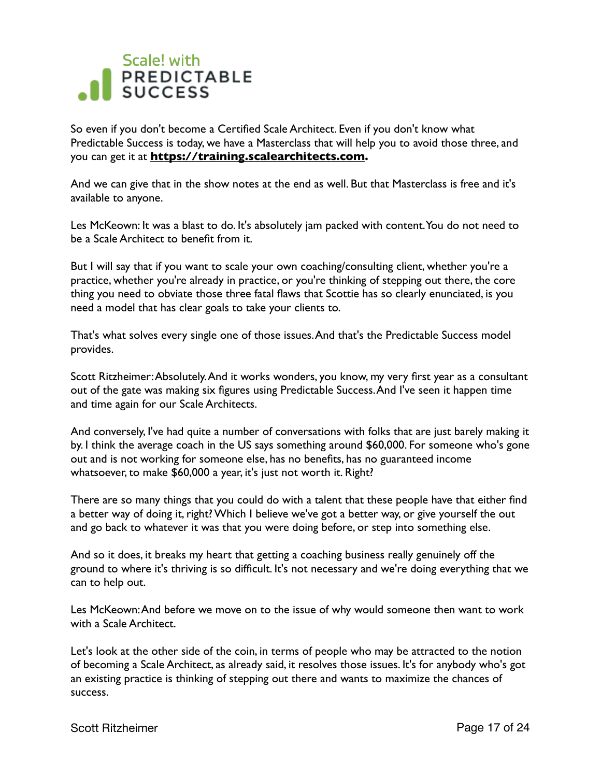

So even if you don't become a Certified Scale Architect. Even if you don't know what Predictable Success is today, we have a Masterclass that will help you to avoid those three, and you can get it at **[https://training.scalearchitects.com.](https://training.scalearchitects.com)** 

And we can give that in the show notes at the end as well. But that Masterclass is free and it's available to anyone.

Les McKeown: It was a blast to do. It's absolutely jam packed with content. You do not need to be a Scale Architect to benefit from it.

But I will say that if you want to scale your own coaching/consulting client, whether you're a practice, whether you're already in practice, or you're thinking of stepping out there, the core thing you need to obviate those three fatal flaws that Scottie has so clearly enunciated, is you need a model that has clear goals to take your clients to.

That's what solves every single one of those issues. And that's the Predictable Success model provides.

Scott Ritzheimer: Absolutely. And it works wonders, you know, my very first year as a consultant out of the gate was making six figures using Predictable Success. And I've seen it happen time and time again for our Scale Architects.

And conversely, I've had quite a number of conversations with folks that are just barely making it by. I think the average coach in the US says something around \$60,000. For someone who's gone out and is not working for someone else, has no benefits, has no guaranteed income whatsoever, to make \$60,000 a year, it's just not worth it. Right?

There are so many things that you could do with a talent that these people have that either find a better way of doing it, right? Which I believe we've got a better way, or give yourself the out and go back to whatever it was that you were doing before, or step into something else.

And so it does, it breaks my heart that getting a coaching business really genuinely off the ground to where it's thriving is so difficult. It's not necessary and we're doing everything that we can to help out.

Les McKeown: And before we move on to the issue of why would someone then want to work with a Scale Architect.

Let's look at the other side of the coin, in terms of people who may be attracted to the notion of becoming a Scale Architect, as already said, it resolves those issues. It's for anybody who's got an existing practice is thinking of stepping out there and wants to maximize the chances of success.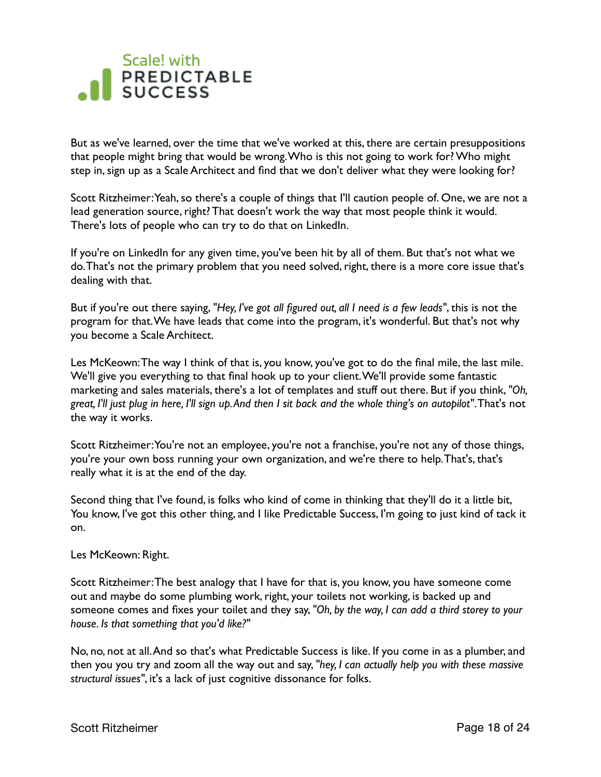But as we've learned, over the time that we've worked at this, there are certain presuppositions that people might bring that would be wrong. Who is this not going to work for? Who might step in, sign up as a Scale Architect and find that we don't deliver what they were looking for?

Scott Ritzheimer: Yeah, so there's a couple of things that I'll caution people of. One, we are not a lead generation source, right? That doesn't work the way that most people think it would. There's lots of people who can try to do that on LinkedIn.

If you're on LinkedIn for any given time, you've been hit by all of them. But that's not what we do. That's not the primary problem that you need solved, right, there is a more core issue that's dealing with that.

But if you're out there saying, *"Hey, I've got all figured out, all I need is a few leads"*, this is not the program for that. We have leads that come into the program, it's wonderful. But that's not why you become a Scale Architect.

Les McKeown: The way I think of that is, you know, you've got to do the final mile, the last mile. We'll give you everything to that final hook up to your client. We'll provide some fantastic marketing and sales materials, there's a lot of templates and stuff out there. But if you think, *"Oh, great, I'll just plug in here, I'll sign up. And then I sit back and the whole thing's on autopilot"*. That's not the way it works.

Scott Ritzheimer: You're not an employee, you're not a franchise, you're not any of those things, you're your own boss running your own organization, and we're there to help. That's, that's really what it is at the end of the day.

Second thing that I've found, is folks who kind of come in thinking that they'll do it a little bit, You know, I've got this other thing, and I like Predictable Success, I'm going to just kind of tack it on.

Les McKeown: Right.

Scott Ritzheimer: The best analogy that I have for that is, you know, you have someone come out and maybe do some plumbing work, right, your toilets not working, is backed up and someone comes and fixes your toilet and they say, *"Oh, by the way, I can add a third storey to your house. Is that something that you'd like?"*

No, no, not at all. And so that's what Predictable Success is like. If you come in as a plumber, and then you you try and zoom all the way out and say, *"hey, I can actually help you with these massive structural issues"*, it's a lack of just cognitive dissonance for folks.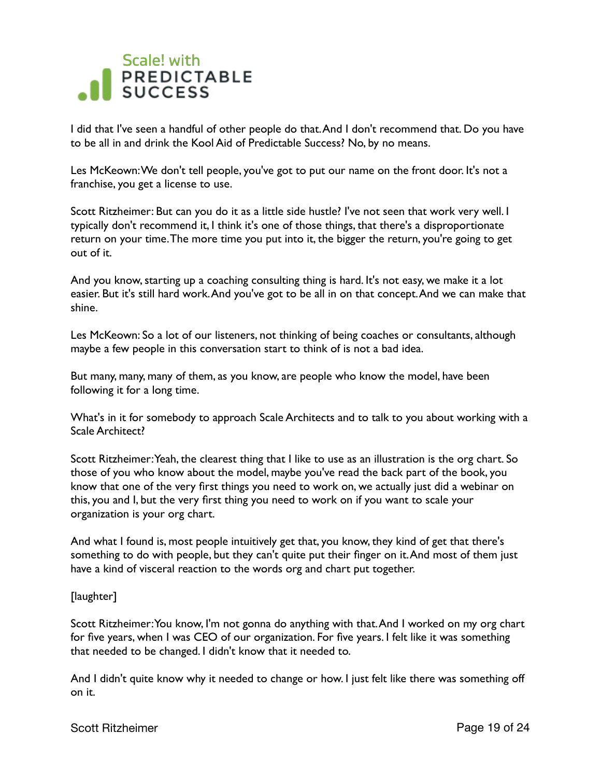

I did that I've seen a handful of other people do that. And I don't recommend that. Do you have to be all in and drink the Kool Aid of Predictable Success? No, by no means.

Les McKeown: We don't tell people, you've got to put our name on the front door. It's not a franchise, you get a license to use.

Scott Ritzheimer: But can you do it as a little side hustle? I've not seen that work very well. I typically don't recommend it, I think it's one of those things, that there's a disproportionate return on your time. The more time you put into it, the bigger the return, you're going to get out of it.

And you know, starting up a coaching consulting thing is hard. It's not easy, we make it a lot easier. But it's still hard work. And you've got to be all in on that concept. And we can make that shine.

Les McKeown: So a lot of our listeners, not thinking of being coaches or consultants, although maybe a few people in this conversation start to think of is not a bad idea.

But many, many, many of them, as you know, are people who know the model, have been following it for a long time.

What's in it for somebody to approach Scale Architects and to talk to you about working with a Scale Architect?

Scott Ritzheimer: Yeah, the clearest thing that I like to use as an illustration is the org chart. So those of you who know about the model, maybe you've read the back part of the book, you know that one of the very first things you need to work on, we actually just did a webinar on this, you and I, but the very first thing you need to work on if you want to scale your organization is your org chart.

And what I found is, most people intuitively get that, you know, they kind of get that there's something to do with people, but they can't quite put their finger on it. And most of them just have a kind of visceral reaction to the words org and chart put together.

#### [laughter]

Scott Ritzheimer: You know, I'm not gonna do anything with that. And I worked on my org chart for five years, when I was CEO of our organization. For five years. I felt like it was something that needed to be changed. I didn't know that it needed to.

And I didn't quite know why it needed to change or how. I just felt like there was something off on it.

#### Scott Ritzheimer **Page 19 of 24**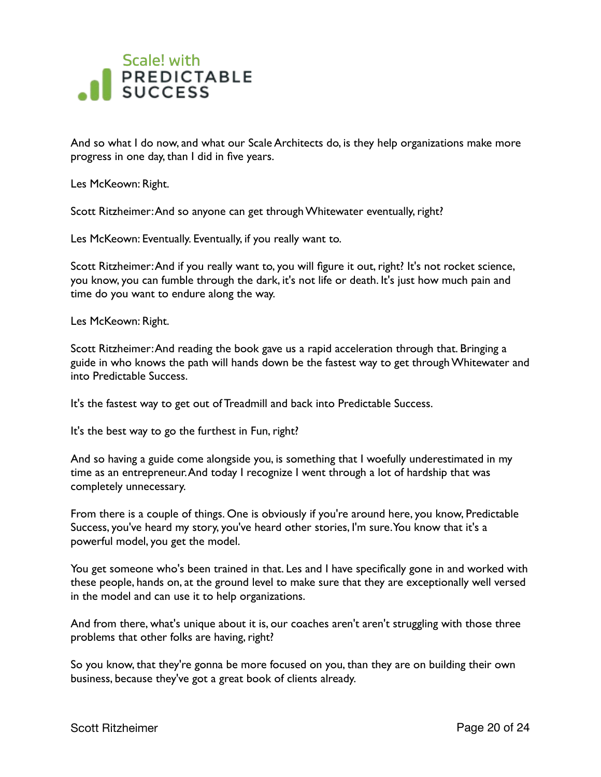

And so what I do now, and what our Scale Architects do, is they help organizations make more progress in one day, than I did in five years.

Les McKeown: Right.

Scott Ritzheimer: And so anyone can get through Whitewater eventually, right?

Les McKeown: Eventually. Eventually, if you really want to.

Scott Ritzheimer: And if you really want to, you will figure it out, right? It's not rocket science, you know, you can fumble through the dark, it's not life or death. It's just how much pain and time do you want to endure along the way.

Les McKeown: Right.

Scott Ritzheimer: And reading the book gave us a rapid acceleration through that. Bringing a guide in who knows the path will hands down be the fastest way to get through Whitewater and into Predictable Success.

It's the fastest way to get out of Treadmill and back into Predictable Success.

It's the best way to go the furthest in Fun, right?

And so having a guide come alongside you, is something that I woefully underestimated in my time as an entrepreneur. And today I recognize I went through a lot of hardship that was completely unnecessary.

From there is a couple of things. One is obviously if you're around here, you know, Predictable Success, you've heard my story, you've heard other stories, I'm sure. You know that it's a powerful model, you get the model.

You get someone who's been trained in that. Les and I have specifically gone in and worked with these people, hands on, at the ground level to make sure that they are exceptionally well versed in the model and can use it to help organizations.

And from there, what's unique about it is, our coaches aren't aren't struggling with those three problems that other folks are having, right?

So you know, that they're gonna be more focused on you, than they are on building their own business, because they've got a great book of clients already.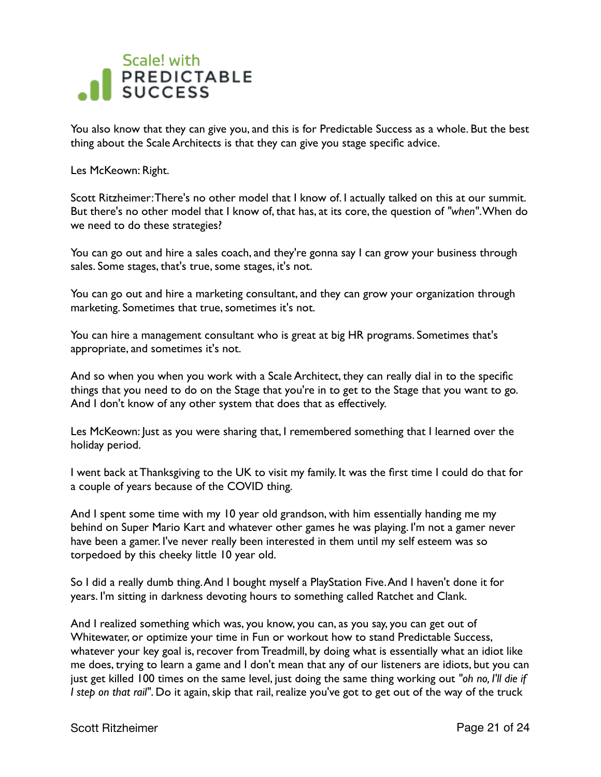

You also know that they can give you, and this is for Predictable Success as a whole. But the best thing about the Scale Architects is that they can give you stage specific advice.

Les McKeown: Right.

Scott Ritzheimer: There's no other model that I know of. I actually talked on this at our summit. But there's no other model that I know of, that has, at its core, the question of *"when"*. When do we need to do these strategies?

You can go out and hire a sales coach, and they're gonna say I can grow your business through sales. Some stages, that's true, some stages, it's not.

You can go out and hire a marketing consultant, and they can grow your organization through marketing. Sometimes that true, sometimes it's not.

You can hire a management consultant who is great at big HR programs. Sometimes that's appropriate, and sometimes it's not.

And so when you when you work with a Scale Architect, they can really dial in to the specific things that you need to do on the Stage that you're in to get to the Stage that you want to go. And I don't know of any other system that does that as effectively.

Les McKeown: Just as you were sharing that, I remembered something that I learned over the holiday period.

I went back at Thanksgiving to the UK to visit my family. It was the first time I could do that for a couple of years because of the COVID thing.

And I spent some time with my 10 year old grandson, with him essentially handing me my behind on Super Mario Kart and whatever other games he was playing. I'm not a gamer never have been a gamer. I've never really been interested in them until my self esteem was so torpedoed by this cheeky little 10 year old.

So I did a really dumb thing. And I bought myself a PlayStation Five. And I haven't done it for years. I'm sitting in darkness devoting hours to something called Ratchet and Clank.

And I realized something which was, you know, you can, as you say, you can get out of Whitewater, or optimize your time in Fun or workout how to stand Predictable Success, whatever your key goal is, recover from Treadmill, by doing what is essentially what an idiot like me does, trying to learn a game and I don't mean that any of our listeners are idiots, but you can just get killed 100 times on the same level, just doing the same thing working out *"oh no, I'll die if I step on that rail"*. Do it again, skip that rail, realize you've got to get out of the way of the truck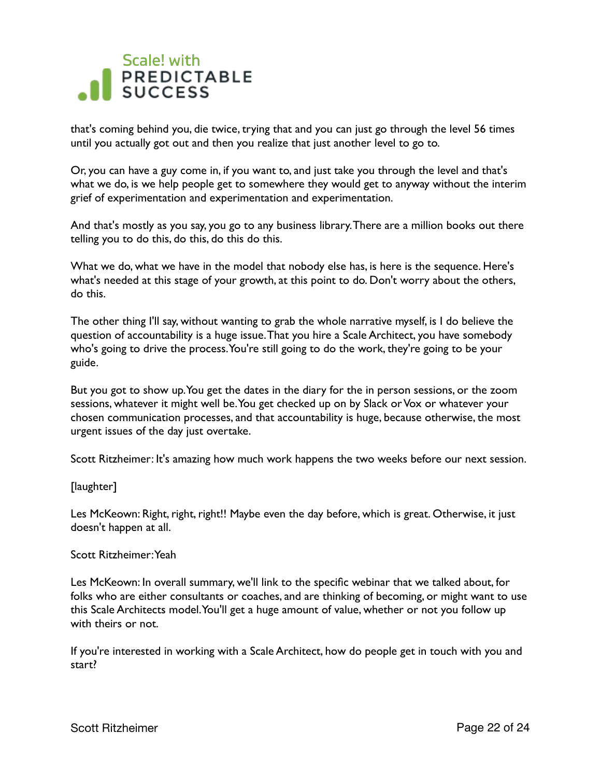that's coming behind you, die twice, trying that and you can just go through the level 56 times until you actually got out and then you realize that just another level to go to.

Or, you can have a guy come in, if you want to, and just take you through the level and that's what we do, is we help people get to somewhere they would get to anyway without the interim grief of experimentation and experimentation and experimentation.

And that's mostly as you say, you go to any business library. There are a million books out there telling you to do this, do this, do this do this.

What we do, what we have in the model that nobody else has, is here is the sequence. Here's what's needed at this stage of your growth, at this point to do. Don't worry about the others, do this.

The other thing I'll say, without wanting to grab the whole narrative myself, is I do believe the question of accountability is a huge issue. That you hire a Scale Architect, you have somebody who's going to drive the process. You're still going to do the work, they're going to be your guide.

But you got to show up. You get the dates in the diary for the in person sessions, or the zoom sessions, whatever it might well be. You get checked up on by Slack or Vox or whatever your chosen communication processes, and that accountability is huge, because otherwise, the most urgent issues of the day just overtake.

Scott Ritzheimer: It's amazing how much work happens the two weeks before our next session.

#### [laughter]

Les McKeown: Right, right, right!! Maybe even the day before, which is great. Otherwise, it just doesn't happen at all.

#### Scott Ritzheimer: Yeah

Les McKeown: In overall summary, we'll link to the specific webinar that we talked about, for folks who are either consultants or coaches, and are thinking of becoming, or might want to use this Scale Architects model. You'll get a huge amount of value, whether or not you follow up with theirs or not.

If you're interested in working with a Scale Architect, how do people get in touch with you and start?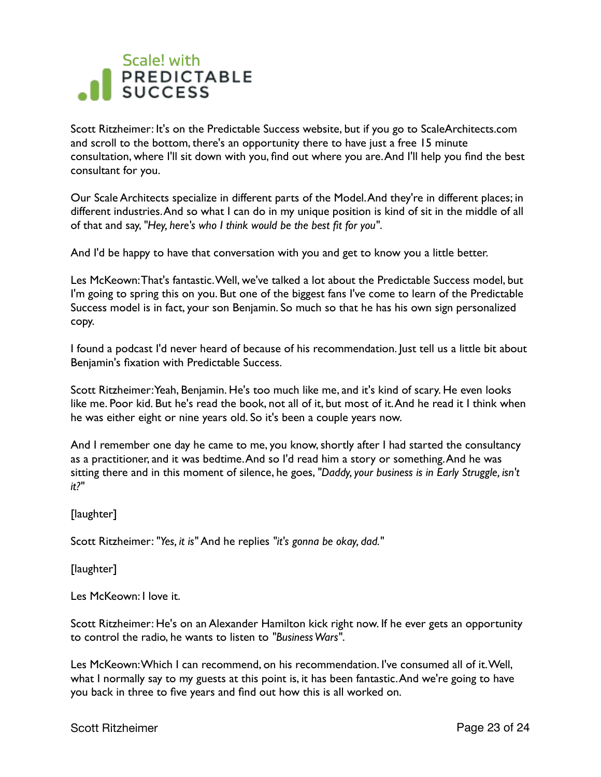Scott Ritzheimer: It's on the Predictable Success website, but if you go to ScaleArchitects.com and scroll to the bottom, there's an opportunity there to have just a free 15 minute consultation, where I'll sit down with you, find out where you are. And I'll help you find the best consultant for you.

Our Scale Architects specialize in different parts of the Model. And they're in different places; in different industries. And so what I can do in my unique position is kind of sit in the middle of all of that and say, *"Hey, here's who I think would be the best fit for you"*.

And I'd be happy to have that conversation with you and get to know you a little better.

Les McKeown: That's fantastic. Well, we've talked a lot about the Predictable Success model, but I'm going to spring this on you. But one of the biggest fans I've come to learn of the Predictable Success model is in fact, your son Benjamin. So much so that he has his own sign personalized copy.

I found a podcast I'd never heard of because of his recommendation. Just tell us a little bit about Benjamin's fixation with Predictable Success.

Scott Ritzheimer: Yeah, Benjamin. He's too much like me, and it's kind of scary. He even looks like me. Poor kid. But he's read the book, not all of it, but most of it. And he read it I think when he was either eight or nine years old. So it's been a couple years now.

And I remember one day he came to me, you know, shortly after I had started the consultancy as a practitioner, and it was bedtime. And so I'd read him a story or something. And he was sitting there and in this moment of silence, he goes, *"Daddy, your business is in Early Struggle, isn't it?"*

[laughter]

Scott Ritzheimer: *"Yes, it is"* And he replies *"it's gonna be okay, dad."*

[laughter]

Les McKeown: I love it.

Scott Ritzheimer: He's on an Alexander Hamilton kick right now. If he ever gets an opportunity to control the radio, he wants to listen to *"Business Wars"*.

Les McKeown: Which I can recommend, on his recommendation. I've consumed all of it. Well, what I normally say to my guests at this point is, it has been fantastic. And we're going to have you back in three to five years and find out how this is all worked on.